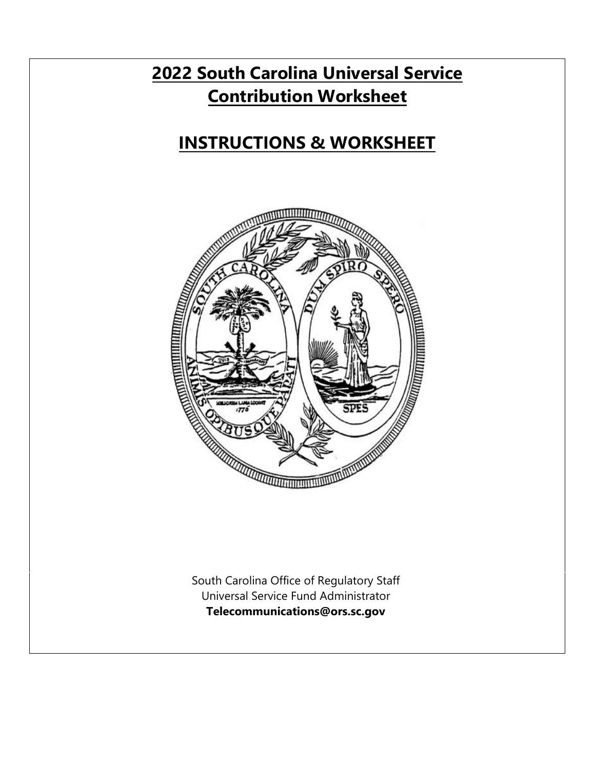## **2022 South Carolina Universal Service Contribution Worksheet**

# **INSTRUCTIONS & WORKSHEET**



South Carolina Office of Regulatory Staff Universal Service Fund Administrator **Telecommunications@ors.sc.gov**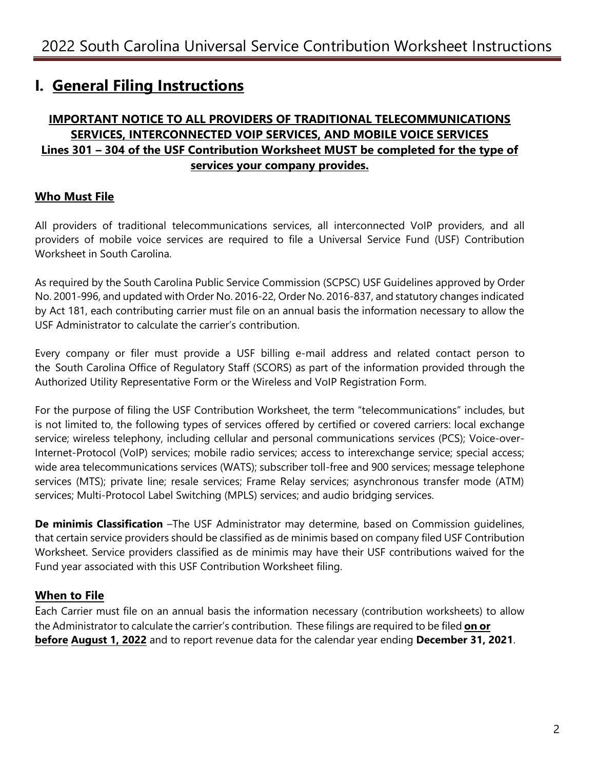## **I. General Filing Instructions**

## **IMPORTANT NOTICE TO ALL PROVIDERS OF TRADITIONAL TELECOMMUNICATIONS SERVICES, INTERCONNECTED VOIP SERVICES, AND MOBILE VOICE SERVICES Lines 301 – 304 of the USF Contribution Worksheet MUST be completed for the type of services your company provides.**

## **Who Must File**

All providers of traditional telecommunications services, all interconnected VoIP providers, and all providers of mobile voice services are required to file a Universal Service Fund (USF) Contribution Worksheet in South Carolina.

As required by the South Carolina Public Service Commission (SCPSC) USF Guidelines approved by Order No. 2001-996, and updated with Order No. 2016-22, Order No. 2016-837, and statutory changes indicated by Act 181, each contributing carrier must file on an annual basis the information necessary to allow the USF Administrator to calculate the carrier's contribution.

Every company or filer must provide a USF billing e-mail address and related contact person to the South Carolina Office of Regulatory Staff (SCORS) as part of the information provided through the Authorized Utility Representative Form or the Wireless and VoIP Registration Form.

For the purpose of filing the USF Contribution Worksheet, the term "telecommunications" includes, but is not limited to, the following types of services offered by certified or covered carriers: local exchange service; wireless telephony, including cellular and personal communications services (PCS); Voice-over-Internet-Protocol (VoIP) services; mobile radio services; access to interexchange service; special access; wide area telecommunications services (WATS); subscriber toll-free and 900 services; message telephone services (MTS); private line; resale services; Frame Relay services; asynchronous transfer mode (ATM) services; Multi-Protocol Label Switching (MPLS) services; and audio bridging services.

**De minimis Classification** –The USF Administrator may determine, based on Commission guidelines, that certain service providers should be classified as de minimis based on company filed USF Contribution Worksheet. Service providers classified as de minimis may have their USF contributions waived for the Fund year associated with this USF Contribution Worksheet filing.

## **When to File**

Each Carrier must file on an annual basis the information necessary (contribution worksheets) to allow the Administrator to calculate the carrier's contribution. These filings are required to be filed **on or before August 1, 2022** and to report revenue data for the calendar year ending **December 31, 2021**.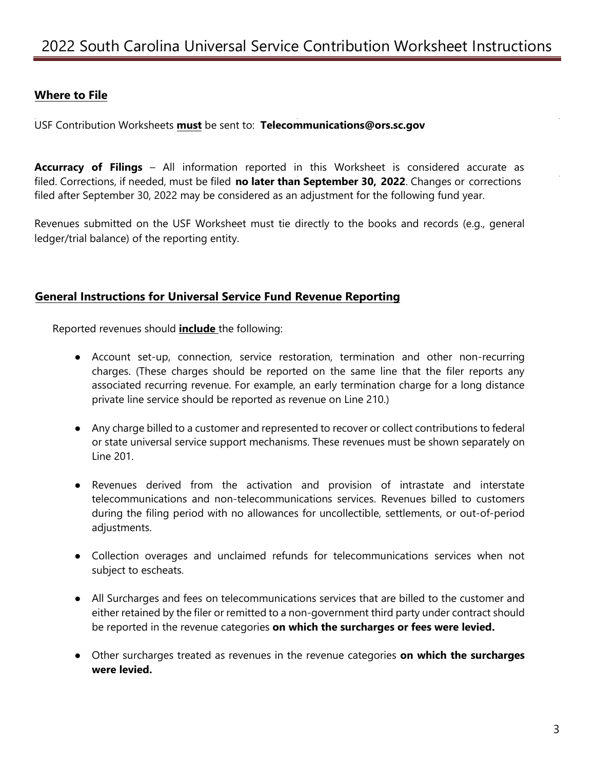## **Where to File**

USF Contribution Worksheets **must** be sent to: **Telecommunications@ors.sc.gov**

**Accurracy of Filings** – All information reported in this Worksheet is considered accurate as filed. Corrections, if needed, must be filed **no later than September 30, 2022**. Changes or corrections filed after September 30, 2022 may be considered as an adjustment for the following fund year.

Revenues submitted on the USF Worksheet must tie directly to the books and records (e.g., general ledger/trial balance) of the reporting entity.

#### **General Instructions for Universal Service Fund Revenue Reporting**

Reported revenues should **include** the following:

- Account set-up, connection, service restoration, termination and other non-recurring charges. (These charges should be reported on the same line that the filer reports any associated recurring revenue. For example, an early termination charge for a long distance private line service should be reported as revenue on Line 210.)
- Any charge billed to a customer and represented to recover or collect contributions to federal or state universal service support mechanisms. These revenues must be shown separately on Line 201.
- Revenues derived from the activation and provision of intrastate and interstate telecommunications and non-telecommunications services. Revenues billed to customers during the filing period with no allowances for uncollectible, settlements, or out-of-period adjustments.
- Collection overages and unclaimed refunds for telecommunications services when not subject to escheats.
- All Surcharges and fees on telecommunications services that are billed to the customer and either retained by the filer or remitted to a non-government third party under contract should be reported in the revenue categories **on which the surcharges or fees were levied.**
- Other surcharges treated as revenues in the revenue categories **on which the surcharges were levied.**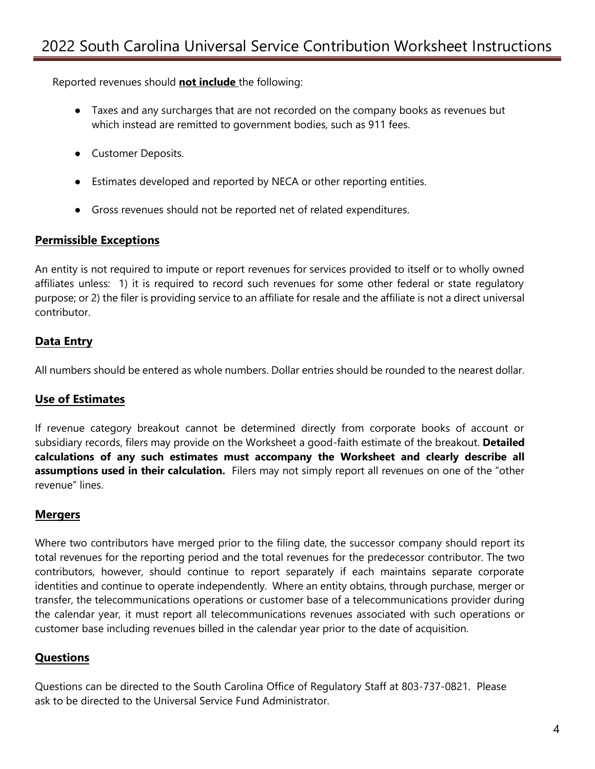Reported revenues should **not include** the following:

- Taxes and any surcharges that are not recorded on the company books as revenues but which instead are remitted to government bodies, such as 911 fees.
- Customer Deposits.
- Estimates developed and reported by NECA or other reporting entities.
- Gross revenues should not be reported net of related expenditures.

### **Permissible Exceptions**

An entity is not required to impute or report revenues for services provided to itself or to wholly owned affiliates unless: 1) it is required to record such revenues for some other federal or state regulatory purpose; or 2) the filer is providing service to an affiliate for resale and the affiliate is not a direct universal contributor.

## **Data Entry**

All numbers should be entered as whole numbers. Dollar entries should be rounded to the nearest dollar.

## **Use of Estimates**

If revenue category breakout cannot be determined directly from corporate books of account or subsidiary records, filers may provide on the Worksheet a good-faith estimate of the breakout. **Detailed calculations of any such estimates must accompany the Worksheet and clearly describe all assumptions used in their calculation.** Filers may not simply report all revenues on one of the "other revenue" lines.

### **Mergers**

Where two contributors have merged prior to the filing date, the successor company should report its total revenues for the reporting period and the total revenues for the predecessor contributor. The two contributors, however, should continue to report separately if each maintains separate corporate identities and continue to operate independently. Where an entity obtains, through purchase, merger or transfer, the telecommunications operations or customer base of a telecommunications provider during the calendar year, it must report all telecommunications revenues associated with such operations or customer base including revenues billed in the calendar year prior to the date of acquisition.

## **Questions**

Questions can be directed to the South Carolina Office of Regulatory Staff at 803-737-0821. Please ask to be directed to the Universal Service Fund Administrator.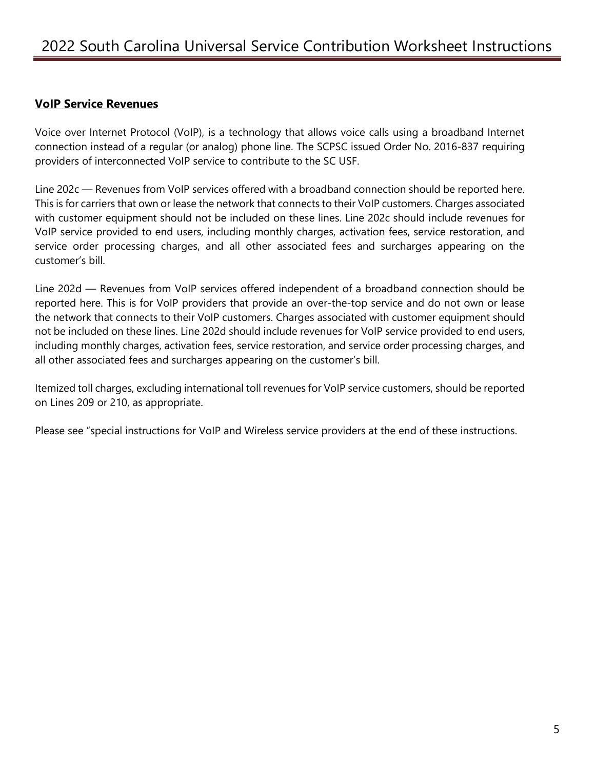### **VoIP Service Revenues**

Voice over Internet Protocol (VoIP), is a technology that allows voice calls using a broadband Internet connection instead of a regular (or analog) phone line. The SCPSC issued Order No. 2016-837 requiring providers of interconnected VoIP service to contribute to the SC USF.

Line 202c — Revenues from VoIP services offered with a broadband connection should be reported here. This is for carriers that own or lease the network that connects to their VoIP customers. Charges associated with customer equipment should not be included on these lines. Line 202c should include revenues for VoIP service provided to end users, including monthly charges, activation fees, service restoration, and service order processing charges, and all other associated fees and surcharges appearing on the customer's bill.

Line 202d — Revenues from VoIP services offered independent of a broadband connection should be reported here. This is for VoIP providers that provide an over-the-top service and do not own or lease the network that connects to their VoIP customers. Charges associated with customer equipment should not be included on these lines. Line 202d should include revenues for VoIP service provided to end users, including monthly charges, activation fees, service restoration, and service order processing charges, and all other associated fees and surcharges appearing on the customer's bill.

Itemized toll charges, excluding international toll revenues for VoIP service customers, should be reported on Lines 209 or 210, as appropriate.

Please see "special instructions for VoIP and Wireless service providers at the end of these instructions.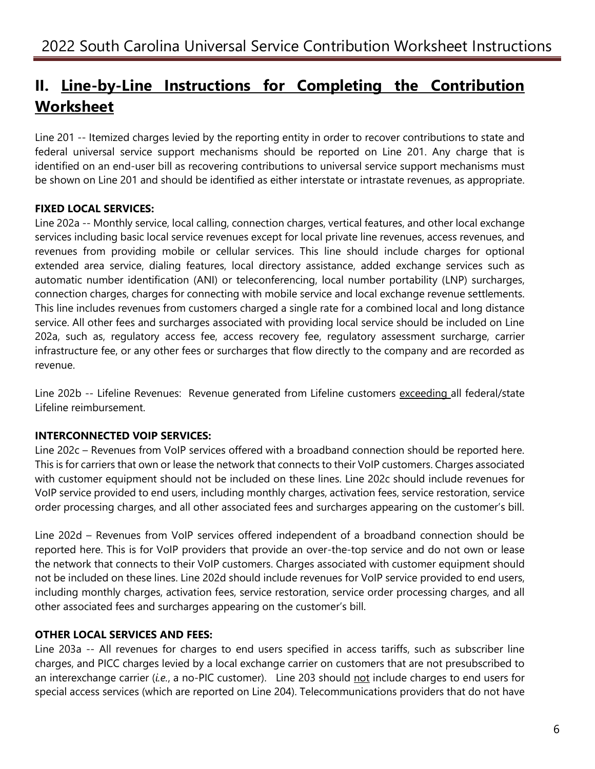## **II. Line-by-Line Instructions for Completing the Contribution Worksheet**

Line 201 -- Itemized charges levied by the reporting entity in order to recover contributions to state and federal universal service support mechanisms should be reported on Line 201. Any charge that is identified on an end-user bill as recovering contributions to universal service support mechanisms must be shown on Line 201 and should be identified as either interstate or intrastate revenues, as appropriate.

## **FIXED LOCAL SERVICES:**

Line 202a -- Monthly service, local calling, connection charges, vertical features, and other local exchange services including basic local service revenues except for local private line revenues, access revenues, and revenues from providing mobile or cellular services. This line should include charges for optional extended area service, dialing features, local directory assistance, added exchange services such as automatic number identification (ANI) or teleconferencing, local number portability (LNP) surcharges, connection charges, charges for connecting with mobile service and local exchange revenue settlements. This line includes revenues from customers charged a single rate for a combined local and long distance service. All other fees and surcharges associated with providing local service should be included on Line 202a, such as, regulatory access fee, access recovery fee, regulatory assessment surcharge, carrier infrastructure fee, or any other fees or surcharges that flow directly to the company and are recorded as revenue.

Line 202b -- Lifeline Revenues: Revenue generated from Lifeline customers exceeding all federal/state Lifeline reimbursement.

### **INTERCONNECTED VOIP SERVICES:**

Line 202c – Revenues from VoIP services offered with a broadband connection should be reported here. This is for carriers that own or lease the network that connects to their VoIP customers. Charges associated with customer equipment should not be included on these lines. Line 202c should include revenues for VoIP service provided to end users, including monthly charges, activation fees, service restoration, service order processing charges, and all other associated fees and surcharges appearing on the customer's bill.

Line 202d – Revenues from VoIP services offered independent of a broadband connection should be reported here. This is for VoIP providers that provide an over-the-top service and do not own or lease the network that connects to their VoIP customers. Charges associated with customer equipment should not be included on these lines. Line 202d should include revenues for VoIP service provided to end users, including monthly charges, activation fees, service restoration, service order processing charges, and all other associated fees and surcharges appearing on the customer's bill.

## **OTHER LOCAL SERVICES AND FEES:**

Line 203a -- All revenues for charges to end users specified in access tariffs, such as subscriber line charges, and PICC charges levied by a local exchange carrier on customers that are not presubscribed to an interexchange carrier (*i.e.*, a no-PIC customer). Line 203 should not include charges to end users for special access services (which are reported on Line 204). Telecommunications providers that do not have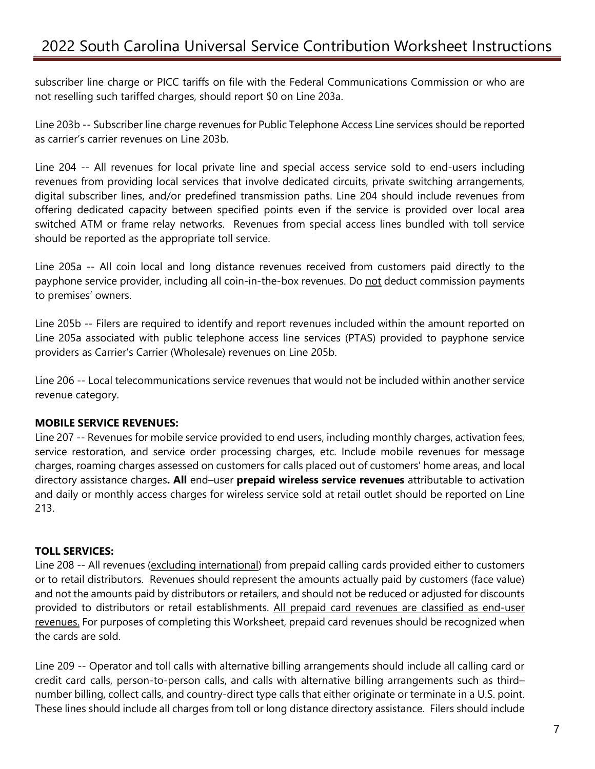subscriber line charge or PICC tariffs on file with the Federal Communications Commission or who are not reselling such tariffed charges, should report \$0 on Line 203a.

Line 203b -- Subscriber line charge revenues for Public Telephone Access Line services should be reported as carrier's carrier revenues on Line 203b.

Line 204 -- All revenues for local private line and special access service sold to end-users including revenues from providing local services that involve dedicated circuits, private switching arrangements, digital subscriber lines, and/or predefined transmission paths. Line 204 should include revenues from offering dedicated capacity between specified points even if the service is provided over local area switched ATM or frame relay networks. Revenues from special access lines bundled with toll service should be reported as the appropriate toll service.

Line 205a -- All coin local and long distance revenues received from customers paid directly to the payphone service provider, including all coin-in-the-box revenues. Do not deduct commission payments to premises' owners.

Line 205b -- Filers are required to identify and report revenues included within the amount reported on Line 205a associated with public telephone access line services (PTAS) provided to payphone service providers as Carrier's Carrier (Wholesale) revenues on Line 205b.

Line 206 -- Local telecommunications service revenues that would not be included within another service revenue category.

### **MOBILE SERVICE REVENUES:**

Line 207 -- Revenues for mobile service provided to end users, including monthly charges, activation fees, service restoration, and service order processing charges, etc. Include mobile revenues for message charges, roaming charges assessed on customers for calls placed out of customers' home areas, and local directory assistance charges**. All** end–user **prepaid wireless service revenues** attributable to activation and daily or monthly access charges for wireless service sold at retail outlet should be reported on Line 213.

#### **TOLL SERVICES:**

Line 208 -- All revenues (excluding international) from prepaid calling cards provided either to customers or to retail distributors. Revenues should represent the amounts actually paid by customers (face value) and not the amounts paid by distributors or retailers, and should not be reduced or adjusted for discounts provided to distributors or retail establishments. All prepaid card revenues are classified as end-user revenues. For purposes of completing this Worksheet, prepaid card revenues should be recognized when the cards are sold.

Line 209 -- Operator and toll calls with alternative billing arrangements should include all calling card or credit card calls, person-to-person calls, and calls with alternative billing arrangements such as third– number billing, collect calls, and country-direct type calls that either originate or terminate in a U.S. point. These lines should include all charges from toll or long distance directory assistance. Filers should include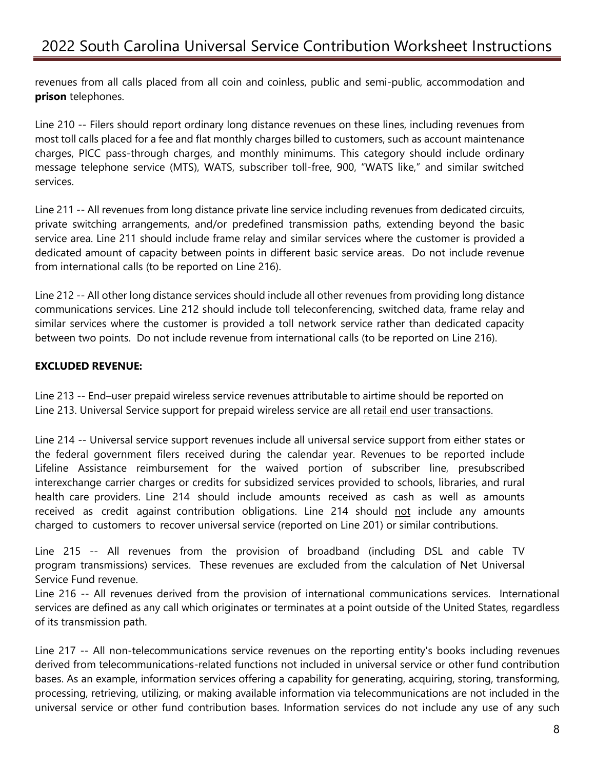revenues from all calls placed from all coin and coinless, public and semi-public, accommodation and **prison** telephones.

Line 210 -- Filers should report ordinary long distance revenues on these lines, including revenues from most toll calls placed for a fee and flat monthly charges billed to customers, such as account maintenance charges, PICC pass-through charges, and monthly minimums. This category should include ordinary message telephone service (MTS), WATS, subscriber toll-free, 900, "WATS like," and similar switched services.

Line 211 -- All revenues from long distance private line service including revenues from dedicated circuits, private switching arrangements, and/or predefined transmission paths, extending beyond the basic service area. Line 211 should include frame relay and similar services where the customer is provided a dedicated amount of capacity between points in different basic service areas. Do not include revenue from international calls (to be reported on Line 216).

Line 212 -- All other long distance services should include all other revenues from providing long distance communications services. Line 212 should include toll teleconferencing, switched data, frame relay and similar services where the customer is provided a toll network service rather than dedicated capacity between two points. Do not include revenue from international calls (to be reported on Line 216).

### **EXCLUDED REVENUE:**

Line 213 -- End–user prepaid wireless service revenues attributable to airtime should be reported on Line 213. Universal Service support for prepaid wireless service are all retail end user transactions.

Line 214 -- Universal service support revenues include all universal service support from either states or the federal government filers received during the calendar year. Revenues to be reported include Lifeline Assistance reimbursement for the waived portion of subscriber line, presubscribed interexchange carrier charges or credits for subsidized services provided to schools, libraries, and rural health care providers. Line 214 should include amounts received as cash as well as amounts received as credit against contribution obligations. Line 214 should not include any amounts charged to customers to recover universal service (reported on Line 201) or similar contributions.

Line 215 -- All revenues from the provision of broadband (including DSL and cable TV program transmissions) services. These revenues are excluded from the calculation of Net Universal Service Fund revenue.

Line 216 -- All revenues derived from the provision of international communications services. International services are defined as any call which originates or terminates at a point outside of the United States, regardless of its transmission path.

Line 217 -- All non-telecommunications service revenues on the reporting entity's books including revenues derived from telecommunications-related functions not included in universal service or other fund contribution bases. As an example, information services offering a capability for generating, acquiring, storing, transforming, processing, retrieving, utilizing, or making available information via telecommunications are not included in the universal service or other fund contribution bases. Information services do not include any use of any such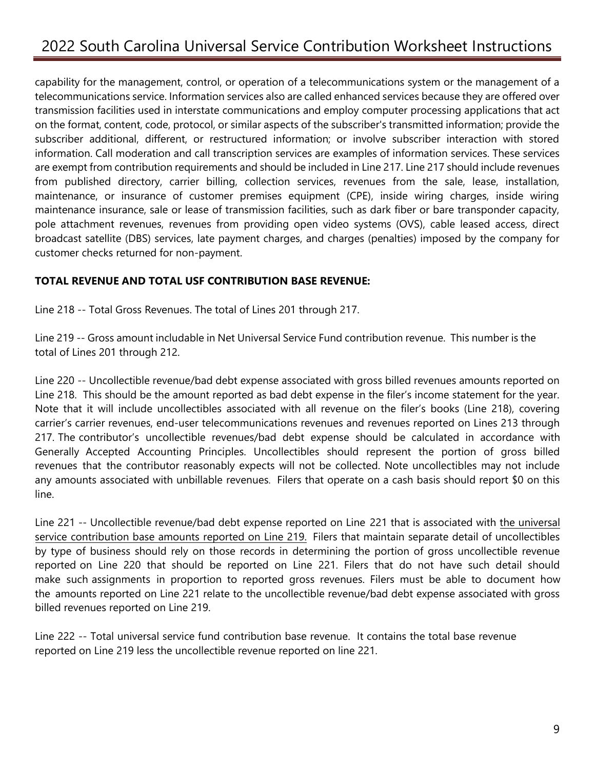capability for the management, control, or operation of a telecommunications system or the management of a telecommunications service. Information services also are called enhanced services because they are offered over transmission facilities used in interstate communications and employ computer processing applications that act on the format, content, code, protocol, or similar aspects of the subscriber's transmitted information; provide the subscriber additional, different, or restructured information; or involve subscriber interaction with stored information. Call moderation and call transcription services are examples of information services. These services are exempt from contribution requirements and should be included in Line 217. Line 217 should include revenues from published directory, carrier billing, collection services, revenues from the sale, lease, installation, maintenance, or insurance of customer premises equipment (CPE), inside wiring charges, inside wiring maintenance insurance, sale or lease of transmission facilities, such as dark fiber or bare transponder capacity, pole attachment revenues, revenues from providing open video systems (OVS), cable leased access, direct broadcast satellite (DBS) services, late payment charges, and charges (penalties) imposed by the company for customer checks returned for non-payment.

#### **TOTAL REVENUE AND TOTAL USF CONTRIBUTION BASE REVENUE:**

Line 218 -- Total Gross Revenues. The total of Lines 201 through 217.

Line 219 -- Gross amount includable in Net Universal Service Fund contribution revenue. This number is the total of Lines 201 through 212.

Line 220 -- Uncollectible revenue/bad debt expense associated with gross billed revenues amounts reported on Line 218. This should be the amount reported as bad debt expense in the filer's income statement for the year. Note that it will include uncollectibles associated with all revenue on the filer's books (Line 218), covering carrier's carrier revenues, end-user telecommunications revenues and revenues reported on Lines 213 through 217. The contributor's uncollectible revenues/bad debt expense should be calculated in accordance with Generally Accepted Accounting Principles. Uncollectibles should represent the portion of gross billed revenues that the contributor reasonably expects will not be collected. Note uncollectibles may not include any amounts associated with unbillable revenues. Filers that operate on a cash basis should report \$0 on this line.

Line 221 -- Uncollectible revenue/bad debt expense reported on Line 221 that is associated with the universal service contribution base amounts reported on Line 219. Filers that maintain separate detail of uncollectibles by type of business should rely on those records in determining the portion of gross uncollectible revenue reported on Line 220 that should be reported on Line 221. Filers that do not have such detail should make such assignments in proportion to reported gross revenues. Filers must be able to document how the amounts reported on Line 221 relate to the uncollectible revenue/bad debt expense associated with gross billed revenues reported on Line 219.

Line 222 -- Total universal service fund contribution base revenue. It contains the total base revenue reported on Line 219 less the uncollectible revenue reported on line 221.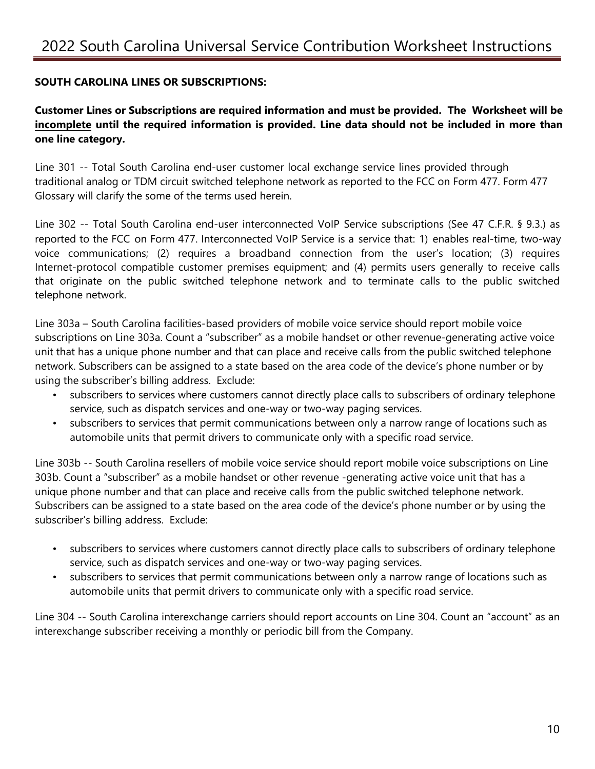### **SOUTH CAROLINA LINES OR SUBSCRIPTIONS:**

**Customer Lines or Subscriptions are required information and must be provided. The Worksheet will be incomplete until the required information is provided. Line data should not be included in more than one line category.** 

Line 301 -- Total South Carolina end-user customer local exchange service lines provided through traditional analog or TDM circuit switched telephone network as reported to the FCC on Form 477. Form 477 Glossary will clarify the some of the terms used herein.

Line 302 -- Total South Carolina end-user interconnected VoIP Service subscriptions (See 47 C.F.R. § 9.3.) as reported to the FCC on Form 477. Interconnected VoIP Service is a service that: 1) enables real-time, two-way voice communications; (2) requires a broadband connection from the user's location; (3) requires Internet-protocol compatible customer premises equipment; and (4) permits users generally to receive calls that originate on the public switched telephone network and to terminate calls to the public switched telephone network.

Line 303a – South Carolina facilities-based providers of mobile voice service should report mobile voice subscriptions on Line 303a. Count a "subscriber" as a mobile handset or other revenue-generating active voice unit that has a unique phone number and that can place and receive calls from the public switched telephone network. Subscribers can be assigned to a state based on the area code of the device's phone number or by using the subscriber's billing address. Exclude:

- subscribers to services where customers cannot directly place calls to subscribers of ordinary telephone service, such as dispatch services and one-way or two-way paging services.
- subscribers to services that permit communications between only a narrow range of locations such as automobile units that permit drivers to communicate only with a specific road service.

Line 303b -- South Carolina resellers of mobile voice service should report mobile voice subscriptions on Line 303b. Count a "subscriber" as a mobile handset or other revenue -generating active voice unit that has a unique phone number and that can place and receive calls from the public switched telephone network. Subscribers can be assigned to a state based on the area code of the device's phone number or by using the subscriber's billing address. Exclude:

- subscribers to services where customers cannot directly place calls to subscribers of ordinary telephone service, such as dispatch services and one-way or two-way paging services.
- subscribers to services that permit communications between only a narrow range of locations such as automobile units that permit drivers to communicate only with a specific road service.

Line 304 -- South Carolina interexchange carriers should report accounts on Line 304. Count an "account" as an interexchange subscriber receiving a monthly or periodic bill from the Company.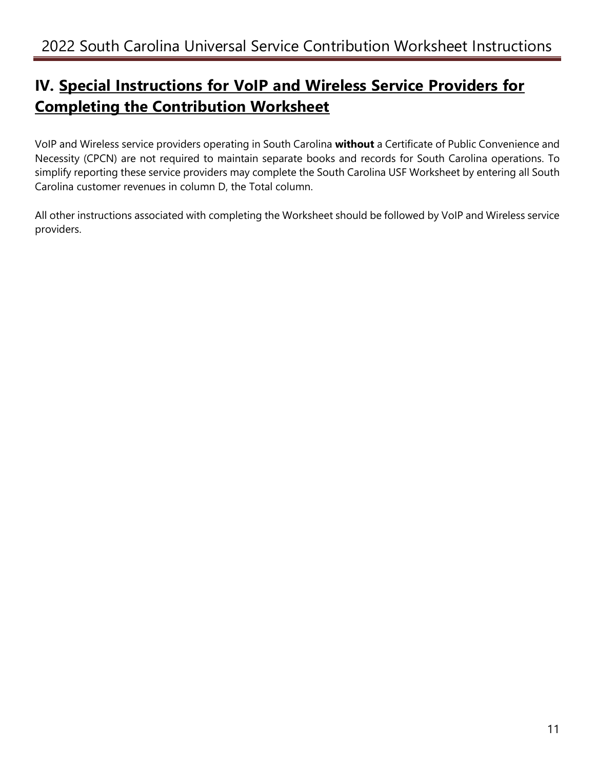## **IV. Special Instructions for VoIP and Wireless Service Providers for Completing the Contribution Worksheet**

VoIP and Wireless service providers operating in South Carolina **without** a Certificate of Public Convenience and Necessity (CPCN) are not required to maintain separate books and records for South Carolina operations. To simplify reporting these service providers may complete the South Carolina USF Worksheet by entering all South Carolina customer revenues in column D, the Total column.

All other instructions associated with completing the Worksheet should be followed by VoIP and Wireless service providers.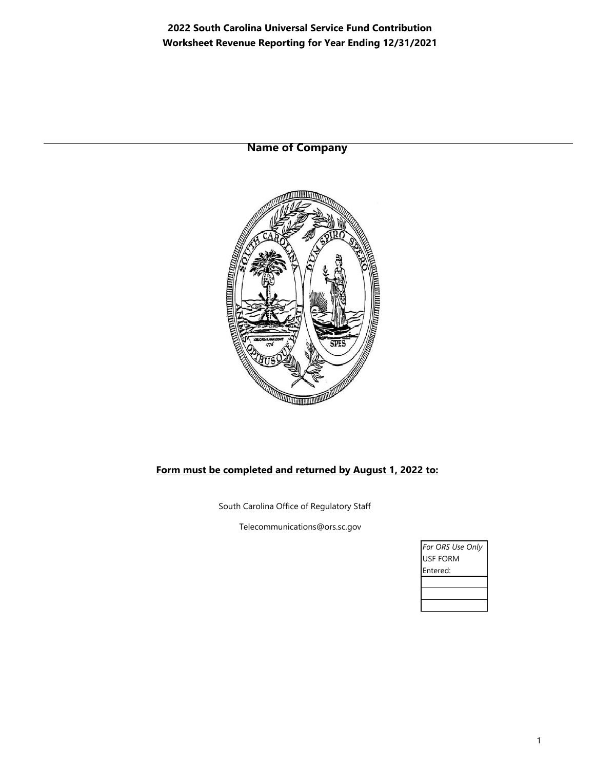**2022 South Carolina Universal Service Fund Contribution Worksheet Revenue Reporting for Year Ending 12/31/2021**

**Name of Company**



#### **Form must be completed and returned by August 1, 2022 to:**

South Carolina Office of Regulatory Staff

Telecommunications@ors.sc.gov

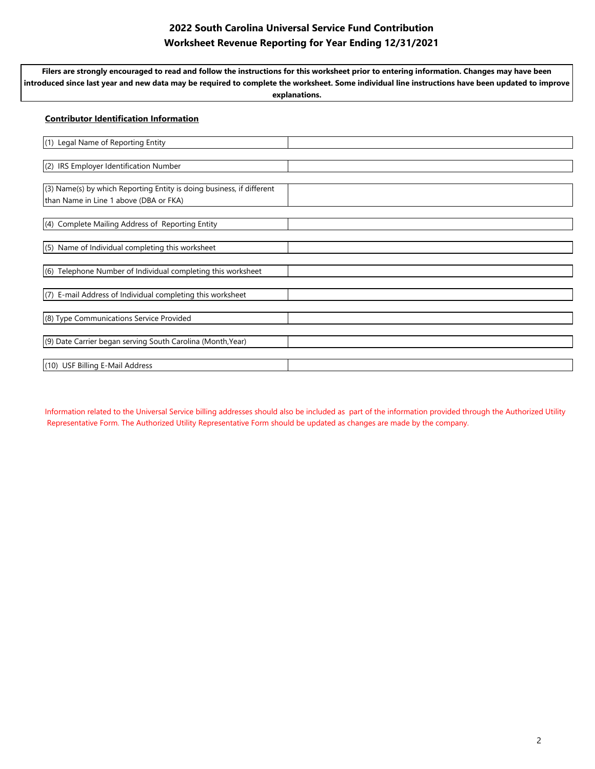### **2022 South Carolina Universal Service Fund Contribution Worksheet Revenue Reporting for Year Ending 12/31/2021**

**Filers are strongly encouraged to read and follow the instructions for this worksheet prior to entering information. Changes may have been introduced since last year and new data may be required to complete the worksheet. Some individual line instructions have been updated to improve explanations.** 

## **Contributor Identification Information** (1) Legal Name of Reporting Entity (2) IRS Employer Identification Number (3) Name(s) by which Reporting Entity is doing business, if different than Name in Line 1 above (DBA or FKA) (4) Complete Mailing Address of Reporting Entity (5) Name of Individual completing this worksheet (6) Telephone Number of Individual completing this worksheet (7) E-mail Address of Individual completing this worksheet (8) Type Communications Service Provided (9) Date Carrier began serving South Carolina (Month,Year) (10) USF Billing E-Mail Address

Information related to the Universal Service billing addresses should also be included as part of the information provided through the Authorized Utility Representative Form. The Authorized Utility Representative Form should be updated as changes are made by the company.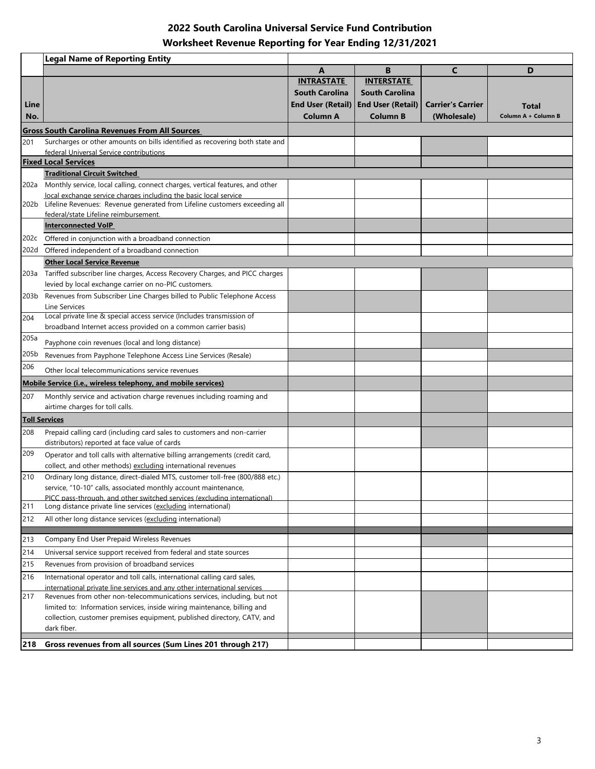## **2022 South Carolina Universal Service Fund Contribution Worksheet Revenue Reporting for Year Ending 12/31/2021**

|                      | <b>Legal Name of Reporting Entity</b>                                                                                                               |                          |                          |                          |                     |
|----------------------|-----------------------------------------------------------------------------------------------------------------------------------------------------|--------------------------|--------------------------|--------------------------|---------------------|
|                      |                                                                                                                                                     | A                        | B                        | C                        | D                   |
|                      |                                                                                                                                                     | <b>INTRASTATE</b>        | <b>INTERSTATE</b>        |                          |                     |
|                      |                                                                                                                                                     | <b>South Carolina</b>    | <b>South Carolina</b>    |                          |                     |
| Line                 |                                                                                                                                                     | <b>End User (Retail)</b> | <b>End User (Retail)</b> | <b>Carrier's Carrier</b> | Total               |
| No.                  |                                                                                                                                                     | Column A                 | <b>Column B</b>          | (Wholesale)              | Column A + Column B |
|                      | <b>Gross South Carolina Revenues From All Sources</b>                                                                                               |                          |                          |                          |                     |
| 201                  | Surcharges or other amounts on bills identified as recovering both state and                                                                        |                          |                          |                          |                     |
|                      | federal Universal Service contributions<br><b>Fixed Local Services</b>                                                                              |                          |                          |                          |                     |
|                      | <b>Traditional Circuit Switched</b>                                                                                                                 |                          |                          |                          |                     |
|                      | 202a Monthly service, local calling, connect charges, vertical features, and other                                                                  |                          |                          |                          |                     |
|                      | local exchange service charges including the basic local service                                                                                    |                          |                          |                          |                     |
|                      | 202b Lifeline Revenues: Revenue generated from Lifeline customers exceeding all                                                                     |                          |                          |                          |                     |
|                      | federal/state Lifeline reimbursement.                                                                                                               |                          |                          |                          |                     |
|                      | <b>Interconnected VoIP</b>                                                                                                                          |                          |                          |                          |                     |
|                      | 202c Offered in conjunction with a broadband connection                                                                                             |                          |                          |                          |                     |
|                      | 202d Offered independent of a broadband connection                                                                                                  |                          |                          |                          |                     |
|                      | <b>Other Local Service Revenue</b>                                                                                                                  |                          |                          |                          |                     |
|                      | 203a Tariffed subscriber line charges, Access Recovery Charges, and PICC charges                                                                    |                          |                          |                          |                     |
|                      | levied by local exchange carrier on no-PIC customers.                                                                                               |                          |                          |                          |                     |
|                      | 203b Revenues from Subscriber Line Charges billed to Public Telephone Access<br>Line Services                                                       |                          |                          |                          |                     |
| 204                  | Local private line & special access service (Includes transmission of                                                                               |                          |                          |                          |                     |
|                      | broadband Internet access provided on a common carrier basis)                                                                                       |                          |                          |                          |                     |
| 205a                 | Payphone coin revenues (local and long distance)                                                                                                    |                          |                          |                          |                     |
| 205b                 | Revenues from Payphone Telephone Access Line Services (Resale)                                                                                      |                          |                          |                          |                     |
| 206                  |                                                                                                                                                     |                          |                          |                          |                     |
|                      | Other local telecommunications service revenues                                                                                                     |                          |                          |                          |                     |
|                      | <b>Mobile Service (i.e., wireless telephony, and mobile services)</b>                                                                               |                          |                          |                          |                     |
| 207                  | Monthly service and activation charge revenues including roaming and<br>airtime charges for toll calls.                                             |                          |                          |                          |                     |
|                      |                                                                                                                                                     |                          |                          |                          |                     |
| <b>Toll Services</b> |                                                                                                                                                     |                          |                          |                          |                     |
| 208                  | Prepaid calling card (including card sales to customers and non-carrier<br>distributors) reported at face value of cards                            |                          |                          |                          |                     |
| 209                  | Operator and toll calls with alternative billing arrangements (credit card,                                                                         |                          |                          |                          |                     |
|                      | collect, and other methods) excluding international revenues                                                                                        |                          |                          |                          |                     |
| 210                  | Ordinary long distance, direct-dialed MTS, customer toll-free (800/888 etc.)                                                                        |                          |                          |                          |                     |
|                      | service, "10-10" calls, associated monthly account maintenance.                                                                                     |                          |                          |                          |                     |
|                      | PICC pass-through, and other switched services (excluding international)                                                                            |                          |                          |                          |                     |
| 211                  | Long distance private line services (excluding international)                                                                                       |                          |                          |                          |                     |
| 212                  | All other long distance services (excluding international)                                                                                          |                          |                          |                          |                     |
| 213                  | Company End User Prepaid Wireless Revenues                                                                                                          |                          |                          |                          |                     |
| 214                  | Universal service support received from federal and state sources                                                                                   |                          |                          |                          |                     |
| 215                  | Revenues from provision of broadband services                                                                                                       |                          |                          |                          |                     |
| 216                  | International operator and toll calls, international calling card sales,                                                                            |                          |                          |                          |                     |
|                      | international private line services and any other international services                                                                            |                          |                          |                          |                     |
| 217                  | Revenues from other non-telecommunications services, including, but not                                                                             |                          |                          |                          |                     |
|                      | limited to: Information services, inside wiring maintenance, billing and<br>collection, customer premises equipment, published directory, CATV, and |                          |                          |                          |                     |
|                      | dark fiber.                                                                                                                                         |                          |                          |                          |                     |
|                      |                                                                                                                                                     |                          |                          |                          |                     |
| 218                  | Gross revenues from all sources (Sum Lines 201 through 217)                                                                                         |                          |                          |                          |                     |